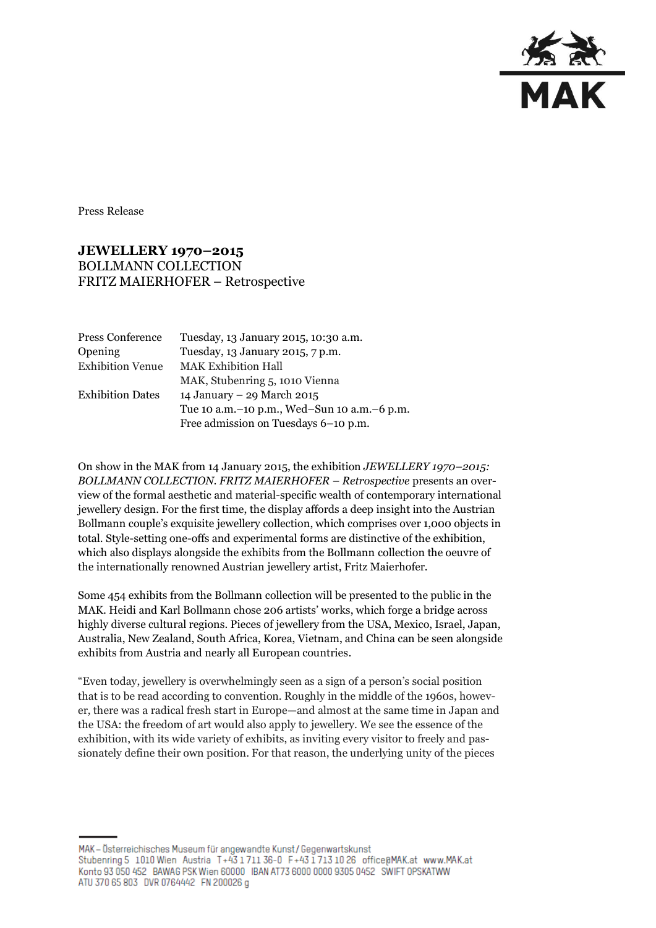

Press Release

## **JEWELLERY 1970–2015** BOLLMANN COLLECTION FRITZ MAIERHOFER – Retrospective

| Tuesday, 13 January 2015, 10:30 a.m.        |
|---------------------------------------------|
| Tuesday, 13 January 2015, 7 p.m.            |
| <b>MAK Exhibition Hall</b>                  |
| MAK, Stubenring 5, 1010 Vienna              |
| 14 January – 29 March 2015                  |
| Tue 10 a.m.-10 p.m., Wed-Sun 10 a.m.-6 p.m. |
| Free admission on Tuesdays 6-10 p.m.        |
|                                             |

On show in the MAK from 14 January 2015, the exhibition *JEWELLERY 1970–2015: BOLLMANN COLLECTION. FRITZ MAIERHOFER – Retrospective* presents an overview of the formal aesthetic and material-specific wealth of contemporary international jewellery design. For the first time, the display affords a deep insight into the Austrian Bollmann couple's exquisite jewellery collection, which comprises over 1,000 objects in total. Style-setting one-offs and experimental forms are distinctive of the exhibition, which also displays alongside the exhibits from the Bollmann collection the oeuvre of the internationally renowned Austrian jewellery artist, Fritz Maierhofer.

Some 454 exhibits from the Bollmann collection will be presented to the public in the MAK. Heidi and Karl Bollmann chose 206 artists' works, which forge a bridge across highly diverse cultural regions. Pieces of jewellery from the USA, Mexico, Israel, Japan, Australia, New Zealand, South Africa, Korea, Vietnam, and China can be seen alongside exhibits from Austria and nearly all European countries.

"Even today, jewellery is overwhelmingly seen as a sign of a person's social position that is to be read according to convention. Roughly in the middle of the 1960s, however, there was a radical fresh start in Europe—and almost at the same time in Japan and the USA: the freedom of art would also apply to jewellery. We see the essence of the exhibition, with its wide variety of exhibits, as inviting every visitor to freely and passionately define their own position. For that reason, the underlying unity of the pieces

MAK - Österreichisches Museum für angewandte Kunst/Gegenwartskunst Stubenring 5 1010 Wien Austria T+43 1711 36-0 F+43 1713 10 26 office@MAK.at www.MAK.at Konto 93 050 452 BAWAG PSK Wien 60000 IBAN AT73 6000 0000 9305 0452 SWIFT OPSKATWW ATU 370 65 803 DVR 0764442 FN 200026 g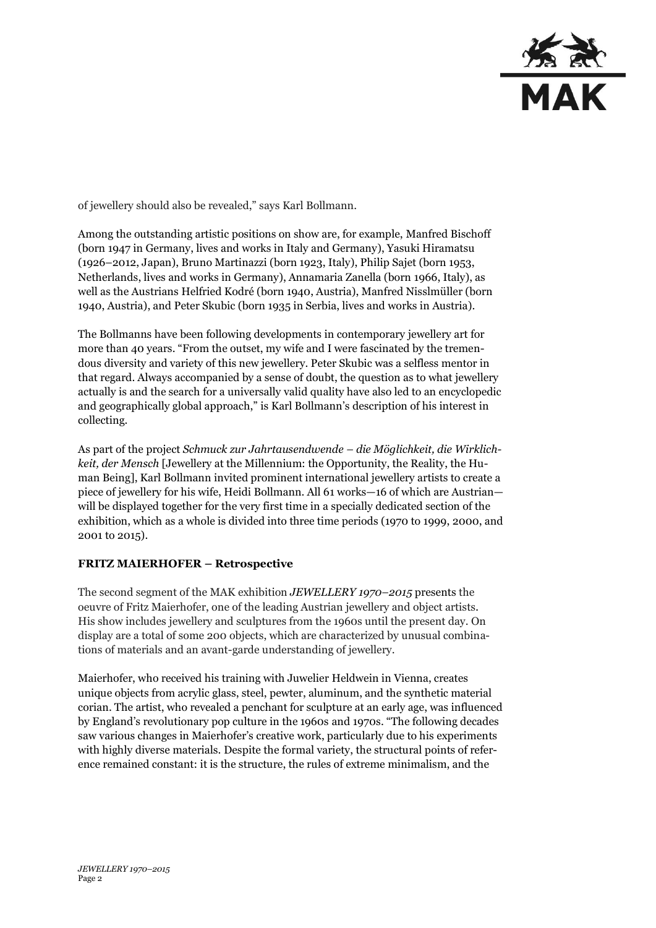

of jewellery should also be revealed," says Karl Bollmann.

Among the outstanding artistic positions on show are, for example, Manfred Bischoff (born 1947 in Germany, lives and works in Italy and Germany), Yasuki Hiramatsu (1926–2012, Japan), Bruno Martinazzi (born 1923, Italy), Philip Sajet (born 1953, Netherlands, lives and works in Germany), Annamaria Zanella (born 1966, Italy), as well as the Austrians Helfried Kodré (born 1940, Austria), Manfred Nisslmüller (born 1940, Austria), and Peter Skubic (born 1935 in Serbia, lives and works in Austria).

The Bollmanns have been following developments in contemporary jewellery art for more than 40 years. "From the outset, my wife and I were fascinated by the tremendous diversity and variety of this new jewellery. Peter Skubic was a selfless mentor in that regard. Always accompanied by a sense of doubt, the question as to what jewellery actually is and the search for a universally valid quality have also led to an encyclopedic and geographically global approach," is Karl Bollmann's description of his interest in collecting.

As part of the project *Schmuck zur Jahrtausendwende – die Möglichkeit, die Wirklichkeit, der Mensch* [Jewellery at the Millennium: the Opportunity, the Reality, the Human Being], Karl Bollmann invited prominent international jewellery artists to create a piece of jewellery for his wife, Heidi Bollmann. All 61 works—16 of which are Austrian will be displayed together for the very first time in a specially dedicated section of the exhibition, which as a whole is divided into three time periods (1970 to 1999, 2000, and 2001 to 2015).

## **FRITZ MAIERHOFER – Retrospective**

The second segment of the MAK exhibition *JEWELLERY 1970–2015* presents the oeuvre of Fritz Maierhofer, one of the leading Austrian jewellery and object artists*.* His show includes jewellery and sculptures from the 1960s until the present day. On display are a total of some 200 objects, which are characterized by unusual combinations of materials and an avant-garde understanding of jewellery.

Maierhofer, who received his training with Juwelier Heldwein in Vienna, creates unique objects from acrylic glass, steel, pewter, aluminum, and the synthetic material corian. The artist, who revealed a penchant for sculpture at an early age, was influenced by England's revolutionary pop culture in the 1960s and 1970s. "The following decades saw various changes in Maierhofer's creative work, particularly due to his experiments with highly diverse materials. Despite the formal variety, the structural points of reference remained constant: it is the structure, the rules of extreme minimalism, and the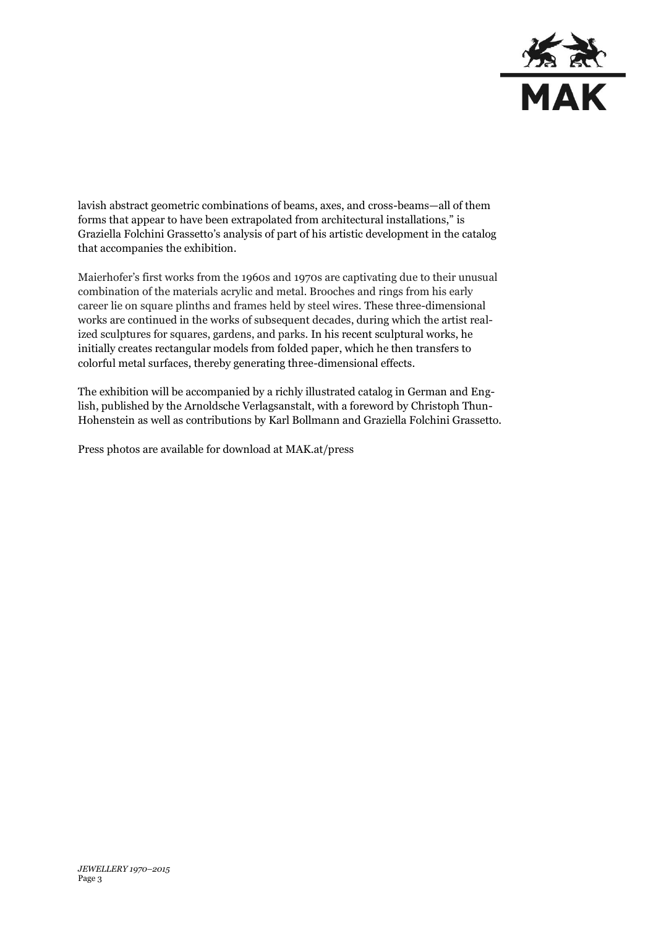

lavish abstract geometric combinations of beams, axes, and cross-beams—all of them forms that appear to have been extrapolated from architectural installations," is Graziella Folchini Grassetto's analysis of part of his artistic development in the catalog that accompanies the exhibition.

Maierhofer's first works from the 1960s and 1970s are captivating due to their unusual combination of the materials acrylic and metal. Brooches and rings from his early career lie on square plinths and frames held by steel wires. These three-dimensional works are continued in the works of subsequent decades, during which the artist realized sculptures for squares, gardens, and parks. In his recent sculptural works, he initially creates rectangular models from folded paper, which he then transfers to colorful metal surfaces, thereby generating three-dimensional effects.

The exhibition will be accompanied by a richly illustrated catalog in German and English, published by the Arnoldsche Verlagsanstalt, with a foreword by Christoph Thun-Hohenstein as well as contributions by Karl Bollmann and Graziella Folchini Grassetto.

Press photos are available for download at MAK.at/press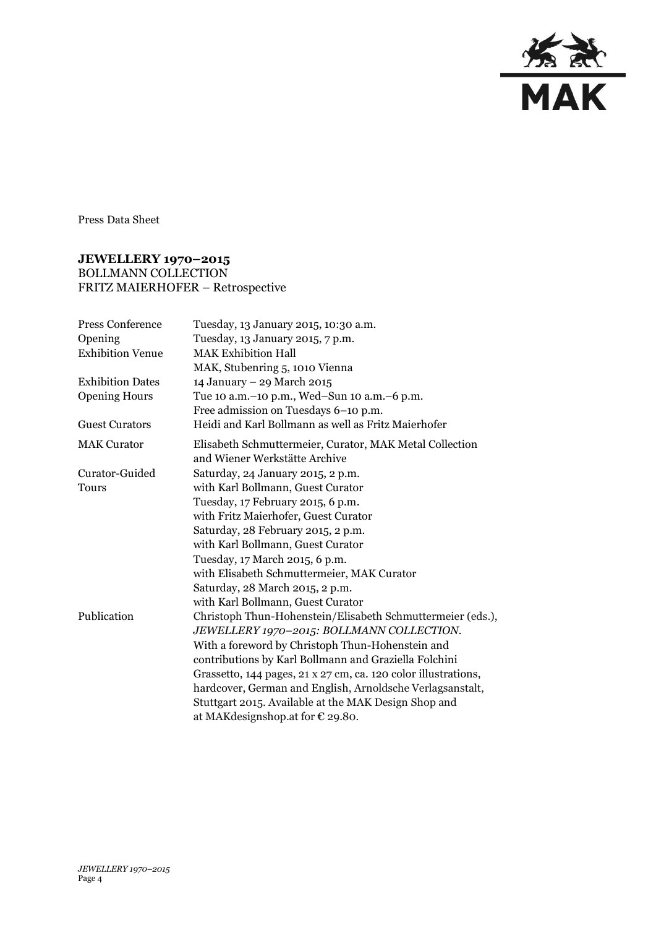

Press Data Sheet

## **JEWELLERY 1970–2015** BOLLMANN COLLECTION FRITZ MAIERHOFER – Retrospective

| <b>Press Conference</b> | Tuesday, 13 January 2015, 10:30 a.m.                                                     |
|-------------------------|------------------------------------------------------------------------------------------|
| Opening                 | Tuesday, 13 January 2015, 7 p.m.                                                         |
| <b>Exhibition Venue</b> | <b>MAK Exhibition Hall</b>                                                               |
|                         | MAK, Stubenring 5, 1010 Vienna                                                           |
| <b>Exhibition Dates</b> | 14 January - 29 March 2015                                                               |
| <b>Opening Hours</b>    | Tue 10 a.m. - 10 p.m., Wed-Sun 10 a.m. - 6 p.m.                                          |
|                         | Free admission on Tuesdays 6-10 p.m.                                                     |
| <b>Guest Curators</b>   | Heidi and Karl Bollmann as well as Fritz Maierhofer                                      |
| <b>MAK Curator</b>      | Elisabeth Schmuttermeier, Curator, MAK Metal Collection<br>and Wiener Werkstätte Archive |
| Curator-Guided          | Saturday, 24 January 2015, 2 p.m.                                                        |
| Tours                   | with Karl Bollmann, Guest Curator                                                        |
|                         | Tuesday, 17 February 2015, 6 p.m.                                                        |
|                         | with Fritz Maierhofer, Guest Curator                                                     |
|                         | Saturday, 28 February 2015, 2 p.m.                                                       |
|                         | with Karl Bollmann, Guest Curator                                                        |
|                         | Tuesday, 17 March 2015, 6 p.m.                                                           |
|                         | with Elisabeth Schmuttermeier, MAK Curator                                               |
|                         | Saturday, 28 March 2015, 2 p.m.                                                          |
|                         | with Karl Bollmann, Guest Curator                                                        |
| Publication             | Christoph Thun-Hohenstein/Elisabeth Schmuttermeier (eds.),                               |
|                         | JEWELLERY 1970-2015: BOLLMANN COLLECTION.                                                |
|                         | With a foreword by Christoph Thun-Hohenstein and                                         |
|                         | contributions by Karl Bollmann and Graziella Folchini                                    |
|                         | Grassetto, 144 pages, 21 x 27 cm, ca. 120 color illustrations,                           |
|                         | hardcover, German and English, Arnoldsche Verlagsanstalt,                                |
|                         | Stuttgart 2015. Available at the MAK Design Shop and                                     |
|                         | at MAK designshop. at for $\epsilon$ 29.80.                                              |